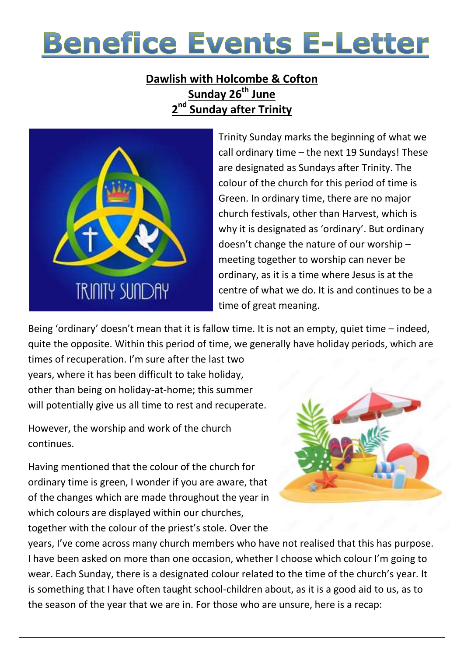# **Benefice Events E-Letter**

# **Dawlish with Holcombe & Cofton Sunday 26th June 2 nd Sunday after Trinity**



Trinity Sunday marks the beginning of what we call ordinary time – the next 19 Sundays! These are designated as Sundays after Trinity. The colour of the church for this period of time is Green. In ordinary time, there are no major church festivals, other than Harvest, which is why it is designated as 'ordinary'. But ordinary doesn't change the nature of our worship – meeting together to worship can never be ordinary, as it is a time where Jesus is at the centre of what we do. It is and continues to be a time of great meaning.

Being 'ordinary' doesn't mean that it is fallow time. It is not an empty, quiet time – indeed, quite the opposite. Within this period of time, we generally have holiday periods, which are

times of recuperation. I'm sure after the last two years, where it has been difficult to take holiday, other than being on holiday-at-home; this summer will potentially give us all time to rest and recuperate.

However, the worship and work of the church continues.

Having mentioned that the colour of the church for ordinary time is green, I wonder if you are aware, that of the changes which are made throughout the year in which colours are displayed within our churches, together with the colour of the priest's stole. Over the



years, I've come across many church members who have not realised that this has purpose. I have been asked on more than one occasion, whether I choose which colour I'm going to wear. Each Sunday, there is a designated colour related to the time of the church's year. It is something that I have often taught school-children about, as it is a good aid to us, as to the season of the year that we are in. For those who are unsure, here is a recap: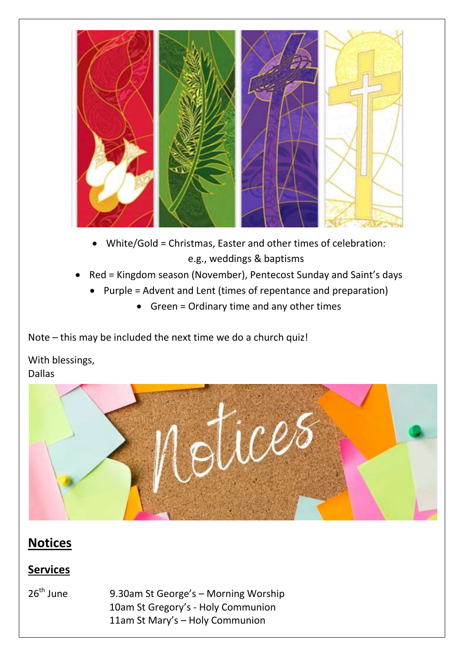

- White/Gold = Christmas, Easter and other times of celebration: e.g., weddings & baptisms
- Red = Kingdom season (November), Pentecost Sunday and Saint's days
	- Purple = Advent and Lent (times of repentance and preparation)
		- Green = Ordinary time and any other times

Note – this may be included the next time we do a church quiz!

With blessings, Dallas



# **Notices**

## **Services**

 $26<sup>th</sup>$  June 9.30am St George's – Morning Worship 10am St Gregory's - Holy Communion 11am St Mary's – Holy Communion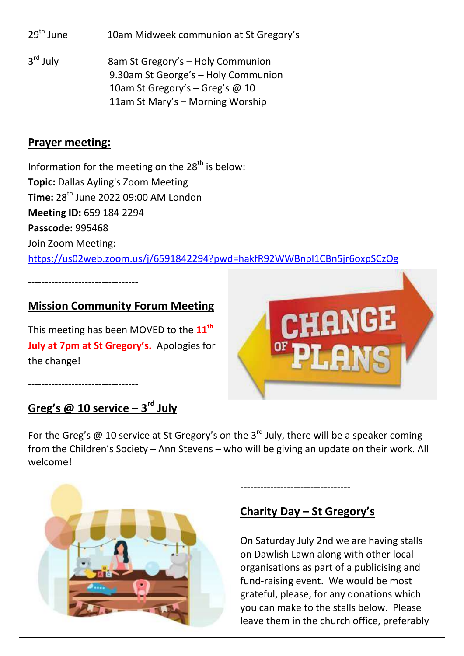29<sup>th</sup> June 10am Midweek communion at St Gregory's

 $3<sup>rd</sup>$  July 8am St Gregory's – Holy Communion 9.30am St George's – Holy Communion 10am St Gregory's – Greg's @ 10 11am St Mary's – Morning Worship

#### --------------------------------- **Prayer meeting:**

---------------------------------

---------------------------------

Information for the meeting on the  $28<sup>th</sup>$  is below: **Topic:** Dallas Ayling's Zoom Meeting **Time:** 28<sup>th</sup> June 2022 09:00 AM London **Meeting ID:** 659 184 2294 **Passcode:** 995468 Join Zoom Meeting: <https://us02web.zoom.us/j/6591842294?pwd=hakfR92WWBnpI1CBn5jr6oxpSCzOg>

### **Mission Community Forum Meeting**

This meeting has been MOVED to the **11th July at 7pm at St Gregory's.** Apologies for the change!

# **Greg's @ 10 service – 3 rd July**

For the Greg's  $\omega$  10 service at St Gregory's on the 3<sup>rd</sup> July, there will be a speaker coming from the Children's Society – Ann Stevens – who will be giving an update on their work. All welcome!



## **Charity Day – St Gregory's**

---------------------------------

On Saturday July 2nd we are having stalls on Dawlish Lawn along with other local organisations as part of a publicising and fund-raising event. We would be most grateful, please, for any donations which you can make to the stalls below. Please leave them in the church office, preferably

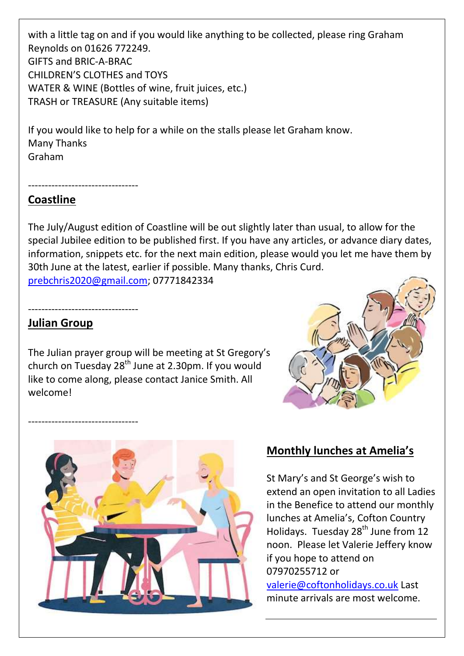with a little tag on and if you would like anything to be collected, please ring Graham Reynolds on 01626 772249. GIFTS and BRIC-A-BRAC CHILDREN'S CLOTHES and TOYS WATER & WINE (Bottles of wine, fruit juices, etc.) TRASH or TREASURE (Any suitable items)

If you would like to help for a while on the stalls please let Graham know. Many Thanks Graham

---------------------------------

#### **Coastline**

The July/August edition of Coastline will be out slightly later than usual, to allow for the special Jubilee edition to be published first. If you have any articles, or advance diary dates, information, snippets etc. for the next main edition, please would you let me have them by 30th June at the latest, earlier if possible. Many thanks, Chris Curd. [prebchris2020@gmail.com;](mailto:prebchris2020@gmail.com) 07771842334

**Julian Group**

---------------------------------

---------------------------------

The Julian prayer group will be meeting at St Gregory's church on Tuesday  $28<sup>th</sup>$  June at 2.30pm. If you would like to come along, please contact Janice Smith. All welcome!





#### **Monthly lunches at Amelia's**

St Mary's and St George's wish to extend an open invitation to all Ladies in the Benefice to attend our monthly lunches at Amelia's, Cofton Country Holidays. Tuesday 28<sup>th</sup> June from 12 noon. Please let Valerie Jeffery know if you hope to attend on 07970255712 or

[valerie@coftonholidays.co.uk](mailto:valerie@coftonholidays.co.uk) Last minute arrivals are most welcome.